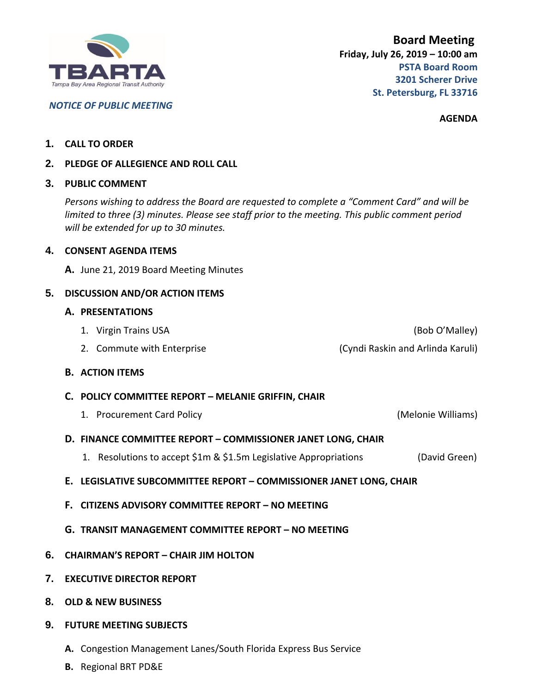

*NOTICE OF PUBLIC MEETING*

**AGENDA**

- **1. CALL TO ORDER**
- **2. PLEDGE OF ALLEGIENCE AND ROLL CALL**

#### **3. PUBLIC COMMENT**

*Persons wishing to address the Board are requested to complete a "Comment Card" and will be limited to three (3) minutes. Please see staff prior to the meeting. This public comment period will be extended for up to 30 minutes.*

#### **4. CONSENT AGENDA ITEMS**

**A.** June 21, 2019 Board Meeting Minutes

#### **5. DISCUSSION AND/OR ACTION ITEMS**

#### **A. PRESENTATIONS**

- 1. Virgin Trains USA (Bob O'Malley)
- 2. Commute with Enterprise (Cyndi Raskin and Arlinda Karuli)
- **B. ACTION ITEMS**

## **C. POLICY COMMITTEE REPORT – MELANIE GRIFFIN, CHAIR**

- 1. Procurement Card Policy (Melonie Williams)
	-

#### **D. FINANCE COMMITTEE REPORT – COMMISSIONER JANET LONG, CHAIR**

- 1. Resolutions to accept \$1m & \$1.5m Legislative Appropriations (David Green)
- **E. LEGISLATIVE SUBCOMMITTEE REPORT – COMMISSIONER JANET LONG, CHAIR**
- **F. CITIZENS ADVISORY COMMITTEE REPORT – NO MEETING**
- **G. TRANSIT MANAGEMENT COMMITTEE REPORT – NO MEETING**
- **6. CHAIRMAN'S REPORT – CHAIR JIM HOLTON**
- **7. EXECUTIVE DIRECTOR REPORT**
- **8. OLD & NEW BUSINESS**
- **9. FUTURE MEETING SUBJECTS**
	- **A.** Congestion Management Lanes/South Florida Express Bus Service
	- **B.** Regional BRT PD&E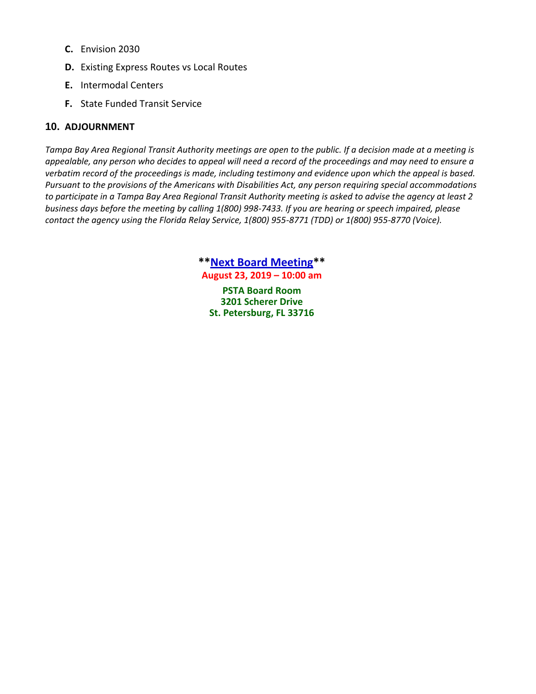- **C.** Envision 2030
- **D.** Existing Express Routes vs Local Routes
- **E.** Intermodal Centers
- **F.** State Funded Transit Service

## **10. ADJOURNMENT**

*Tampa Bay Area Regional Transit Authority meetings are open to the public. If a decision made at a meeting is appealable, any person who decides to appeal will need a record of the proceedings and may need to ensure a verbatim record of the proceedings is made, including testimony and evidence upon which the appeal is based. Pursuant to the provisions of the Americans with Disabilities Act, any person requiring special accommodations to participate in a Tampa Bay Area Regional Transit Authority meeting is asked to advise the agency at least 2 business days before the meeting by calling 1(800) 998-7433. If you are hearing or speech impaired, please contact the agency using the Florida Relay Service, 1(800) 955-8771 (TDD) or 1(800) 955-8770 (Voice).*

> **\*\*Next Board Meeting\*\* August 23, 2019 – 10:00 am PSTA Board Room 3201 Scherer Drive**

**St. Petersburg, FL 33716**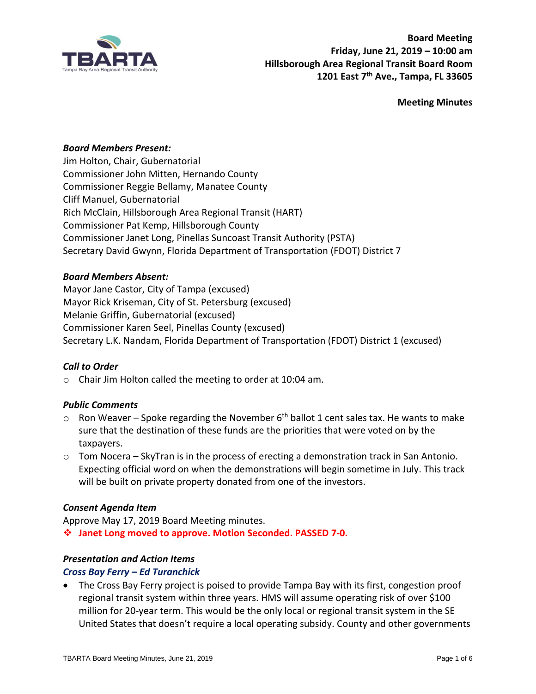

**Meeting Minutes**

#### *Board Members Present:*

Jim Holton, Chair, Gubernatorial Commissioner John Mitten, Hernando County Commissioner Reggie Bellamy, Manatee County Cliff Manuel, Gubernatorial Rich McClain, Hillsborough Area Regional Transit (HART) Commissioner Pat Kemp, Hillsborough County Commissioner Janet Long, Pinellas Suncoast Transit Authority (PSTA) Secretary David Gwynn, Florida Department of Transportation (FDOT) District 7

#### *Board Members Absent:*

Mayor Jane Castor, City of Tampa (excused) Mayor Rick Kriseman, City of St. Petersburg (excused) Melanie Griffin, Gubernatorial (excused) Commissioner Karen Seel, Pinellas County (excused) Secretary L.K. Nandam, Florida Department of Transportation (FDOT) District 1 (excused)

## *Call to Order*

o Chair Jim Holton called the meeting to order at 10:04 am.

## *Public Comments*

- $\circ$  Ron Weaver Spoke regarding the November 6<sup>th</sup> ballot 1 cent sales tax. He wants to make sure that the destination of these funds are the priorities that were voted on by the taxpayers.
- $\circ$  Tom Nocera SkyTran is in the process of erecting a demonstration track in San Antonio. Expecting official word on when the demonstrations will begin sometime in July. This track will be built on private property donated from one of the investors.

#### *Consent Agenda Item*

Approve May 17, 2019 Board Meeting minutes.

❖ **Janet Long moved to approve. Motion Seconded. PASSED 7-0.**

## *Presentation and Action Items*

## *Cross Bay Ferry – Ed Turanchick*

• The Cross Bay Ferry project is poised to provide Tampa Bay with its first, congestion proof regional transit system within three years. HMS will assume operating risk of over \$100 million for 20-year term. This would be the only local or regional transit system in the SE United States that doesn't require a local operating subsidy. County and other governments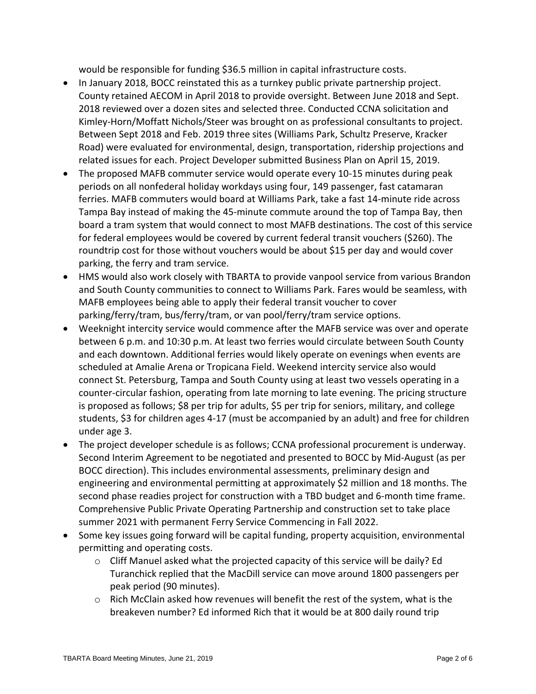would be responsible for funding \$36.5 million in capital infrastructure costs.

- In January 2018, BOCC reinstated this as a turnkey public private partnership project. County retained AECOM in April 2018 to provide oversight. Between June 2018 and Sept. 2018 reviewed over a dozen sites and selected three. Conducted CCNA solicitation and Kimley-Horn/Moffatt Nichols/Steer was brought on as professional consultants to project. Between Sept 2018 and Feb. 2019 three sites (Williams Park, Schultz Preserve, Kracker Road) were evaluated for environmental, design, transportation, ridership projections and related issues for each. Project Developer submitted Business Plan on April 15, 2019.
- The proposed MAFB commuter service would operate every 10-15 minutes during peak periods on all nonfederal holiday workdays using four, 149 passenger, fast catamaran ferries. MAFB commuters would board at Williams Park, take a fast 14-minute ride across Tampa Bay instead of making the 45-minute commute around the top of Tampa Bay, then board a tram system that would connect to most MAFB destinations. The cost of this service for federal employees would be covered by current federal transit vouchers (\$260). The roundtrip cost for those without vouchers would be about \$15 per day and would cover parking, the ferry and tram service.
- HMS would also work closely with TBARTA to provide vanpool service from various Brandon and South County communities to connect to Williams Park. Fares would be seamless, with MAFB employees being able to apply their federal transit voucher to cover parking/ferry/tram, bus/ferry/tram, or van pool/ferry/tram service options.
- Weeknight intercity service would commence after the MAFB service was over and operate between 6 p.m. and 10:30 p.m. At least two ferries would circulate between South County and each downtown. Additional ferries would likely operate on evenings when events are scheduled at Amalie Arena or Tropicana Field. Weekend intercity service also would connect St. Petersburg, Tampa and South County using at least two vessels operating in a counter-circular fashion, operating from late morning to late evening. The pricing structure is proposed as follows; \$8 per trip for adults, \$5 per trip for seniors, military, and college students, \$3 for children ages 4-17 (must be accompanied by an adult) and free for children under age 3.
- The project developer schedule is as follows; CCNA professional procurement is underway. Second Interim Agreement to be negotiated and presented to BOCC by Mid-August (as per BOCC direction). This includes environmental assessments, preliminary design and engineering and environmental permitting at approximately \$2 million and 18 months. The second phase readies project for construction with a TBD budget and 6-month time frame. Comprehensive Public Private Operating Partnership and construction set to take place summer 2021 with permanent Ferry Service Commencing in Fall 2022.
- Some key issues going forward will be capital funding, property acquisition, environmental permitting and operating costs.
	- $\circ$  Cliff Manuel asked what the projected capacity of this service will be daily? Ed Turanchick replied that the MacDill service can move around 1800 passengers per peak period (90 minutes).
	- $\circ$  Rich McClain asked how revenues will benefit the rest of the system, what is the breakeven number? Ed informed Rich that it would be at 800 daily round trip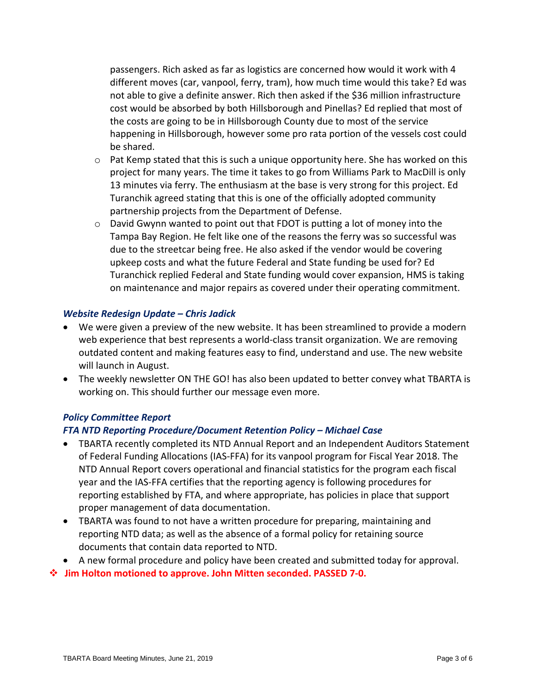passengers. Rich asked as far as logistics are concerned how would it work with 4 different moves (car, vanpool, ferry, tram), how much time would this take? Ed was not able to give a definite answer. Rich then asked if the \$36 million infrastructure cost would be absorbed by both Hillsborough and Pinellas? Ed replied that most of the costs are going to be in Hillsborough County due to most of the service happening in Hillsborough, however some pro rata portion of the vessels cost could be shared.

- $\circ$  Pat Kemp stated that this is such a unique opportunity here. She has worked on this project for many years. The time it takes to go from Williams Park to MacDill is only 13 minutes via ferry. The enthusiasm at the base is very strong for this project. Ed Turanchik agreed stating that this is one of the officially adopted community partnership projects from the Department of Defense.
- $\circ$  David Gwynn wanted to point out that FDOT is putting a lot of money into the Tampa Bay Region. He felt like one of the reasons the ferry was so successful was due to the streetcar being free. He also asked if the vendor would be covering upkeep costs and what the future Federal and State funding be used for? Ed Turanchick replied Federal and State funding would cover expansion, HMS is taking on maintenance and major repairs as covered under their operating commitment.

## *Website Redesign Update – Chris Jadick*

- We were given a preview of the new website. It has been streamlined to provide a modern web experience that best represents a world-class transit organization. We are removing outdated content and making features easy to find, understand and use. The new website will launch in August.
- The weekly newsletter ON THE GO! has also been updated to better convey what TBARTA is working on. This should further our message even more.

## *Policy Committee Report*

## *FTA NTD Reporting Procedure/Document Retention Policy – Michael Case*

- TBARTA recently completed its NTD Annual Report and an Independent Auditors Statement of Federal Funding Allocations (IAS-FFA) for its vanpool program for Fiscal Year 2018. The NTD Annual Report covers operational and financial statistics for the program each fiscal year and the IAS-FFA certifies that the reporting agency is following procedures for reporting established by FTA, and where appropriate, has policies in place that support proper management of data documentation.
- TBARTA was found to not have a written procedure for preparing, maintaining and reporting NTD data; as well as the absence of a formal policy for retaining source documents that contain data reported to NTD.
- A new formal procedure and policy have been created and submitted today for approval.
- ❖ **Jim Holton motioned to approve. John Mitten seconded. PASSED 7-0.**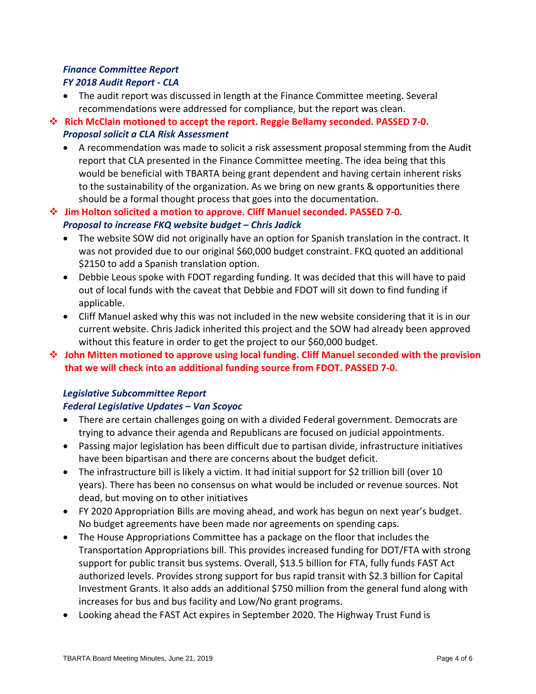## *Finance Committee Report FY 2018 Audit Report - CLA*

- The audit report was discussed in length at the Finance Committee meeting. Several recommendations were addressed for compliance, but the report was clean.
- ❖ **Rich McClain motioned to accept the report. Reggie Bellamy seconded. PASSED 7-0.** *Proposal solicit a CLA Risk Assessment* 
	- A recommendation was made to solicit a risk assessment proposal stemming from the Audit report that CLA presented in the Finance Committee meeting. The idea being that this would be beneficial with TBARTA being grant dependent and having certain inherent risks to the sustainability of the organization. As we bring on new grants & opportunities there should be a formal thought process that goes into the documentation.
- ❖ **Jim Holton solicited a motion to approve. Cliff Manuel seconded. PASSED 7-0.** *Proposal to increase FKQ website budget – Chris Jadick* 
	- The website SOW did not originally have an option for Spanish translation in the contract. It was not provided due to our original \$60,000 budget constraint. FKQ quoted an additional \$2150 to add a Spanish translation option.
	- Debbie Leous spoke with FDOT regarding funding. It was decided that this will have to paid out of local funds with the caveat that Debbie and FDOT will sit down to find funding if applicable.
	- Cliff Manuel asked why this was not included in the new website considering that it is in our current website. Chris Jadick inherited this project and the SOW had already been approved without this feature in order to get the project to our \$60,000 budget.
- ❖ **John Mitten motioned to approve using local funding. Cliff Manuel seconded with the provision that we will check into an additional funding source from FDOT. PASSED 7-0.**

## *Legislative Subcommittee Report Federal Legislative Updates – Van Scoyoc*

- There are certain challenges going on with a divided Federal government. Democrats are trying to advance their agenda and Republicans are focused on judicial appointments.
- Passing major legislation has been difficult due to partisan divide, infrastructure initiatives have been bipartisan and there are concerns about the budget deficit.
- The infrastructure bill is likely a victim. It had initial support for \$2 trillion bill (over 10 years). There has been no consensus on what would be included or revenue sources. Not dead, but moving on to other initiatives
- FY 2020 Appropriation Bills are moving ahead, and work has begun on next year's budget. No budget agreements have been made nor agreements on spending caps.
- The House Appropriations Committee has a package on the floor that includes the Transportation Appropriations bill. This provides increased funding for DOT/FTA with strong support for public transit bus systems. Overall, \$13.5 billion for FTA, fully funds FAST Act authorized levels. Provides strong support for bus rapid transit with \$2.3 billion for Capital Investment Grants. It also adds an additional \$750 million from the general fund along with increases for bus and bus facility and Low/No grant programs.
- Looking ahead the FAST Act expires in September 2020. The Highway Trust Fund is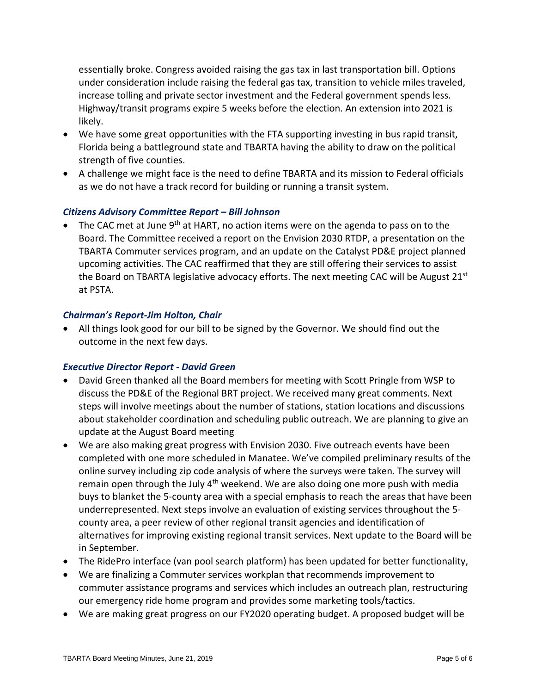essentially broke. Congress avoided raising the gas tax in last transportation bill. Options under consideration include raising the federal gas tax, transition to vehicle miles traveled, increase tolling and private sector investment and the Federal government spends less. Highway/transit programs expire 5 weeks before the election. An extension into 2021 is likely.

- We have some great opportunities with the FTA supporting investing in bus rapid transit, Florida being a battleground state and TBARTA having the ability to draw on the political strength of five counties.
- A challenge we might face is the need to define TBARTA and its mission to Federal officials as we do not have a track record for building or running a transit system.

## *Citizens Advisory Committee Report – Bill Johnson*

• The CAC met at June  $9<sup>th</sup>$  at HART, no action items were on the agenda to pass on to the Board. The Committee received a report on the Envision 2030 RTDP, a presentation on the TBARTA Commuter services program, and an update on the Catalyst PD&E project planned upcoming activities. The CAC reaffirmed that they are still offering their services to assist the Board on TBARTA legislative advocacy efforts. The next meeting CAC will be August  $21<sup>st</sup>$ at PSTA.

## *Chairman's Report-Jim Holton, Chair*

• All things look good for our bill to be signed by the Governor. We should find out the outcome in the next few days.

## *Executive Director Report - David Green*

- David Green thanked all the Board members for meeting with Scott Pringle from WSP to discuss the PD&E of the Regional BRT project. We received many great comments. Next steps will involve meetings about the number of stations, station locations and discussions about stakeholder coordination and scheduling public outreach. We are planning to give an update at the August Board meeting
- We are also making great progress with Envision 2030. Five outreach events have been completed with one more scheduled in Manatee. We've compiled preliminary results of the online survey including zip code analysis of where the surveys were taken. The survey will remain open through the July  $4<sup>th</sup>$  weekend. We are also doing one more push with media buys to blanket the 5-county area with a special emphasis to reach the areas that have been underrepresented. Next steps involve an evaluation of existing services throughout the 5 county area, a peer review of other regional transit agencies and identification of alternatives for improving existing regional transit services. Next update to the Board will be in September.
- The RidePro interface (van pool search platform) has been updated for better functionality,
- We are finalizing a Commuter services workplan that recommends improvement to commuter assistance programs and services which includes an outreach plan, restructuring our emergency ride home program and provides some marketing tools/tactics.
- We are making great progress on our FY2020 operating budget. A proposed budget will be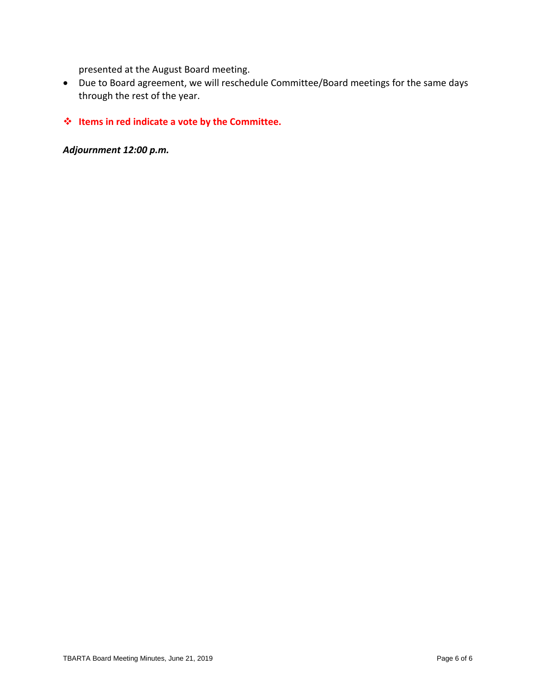presented at the August Board meeting.

- Due to Board agreement, we will reschedule Committee/Board meetings for the same days through the rest of the year.
- ❖ **Items in red indicate a vote by the Committee.**

*Adjournment 12:00 p.m.*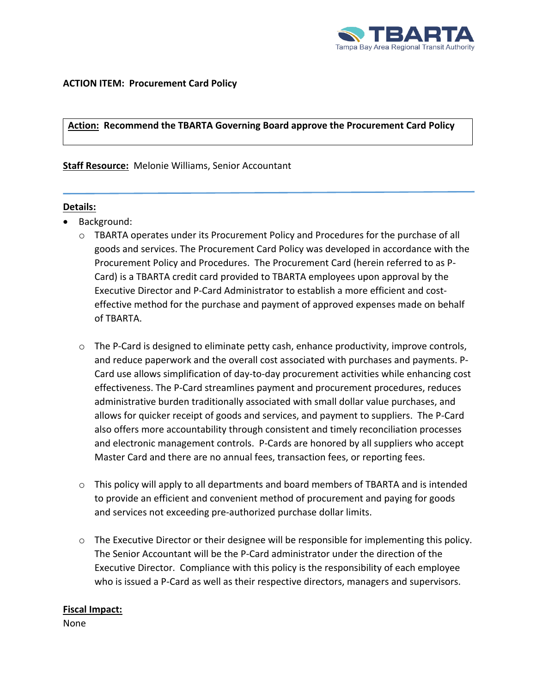

#### **ACTION ITEM: Procurement Card Policy**

#### **Action: Recommend the TBARTA Governing Board approve the Procurement Card Policy**

#### **Staff Resource:** Melonie Williams, Senior Accountant

#### **Details:**

- Background:
	- $\circ$  TBARTA operates under its Procurement Policy and Procedures for the purchase of all goods and services. The Procurement Card Policy was developed in accordance with the Procurement Policy and Procedures. The Procurement Card (herein referred to as P-Card) is a TBARTA credit card provided to TBARTA employees upon approval by the Executive Director and P-Card Administrator to establish a more efficient and costeffective method for the purchase and payment of approved expenses made on behalf of TBARTA.
	- o The P-Card is designed to eliminate petty cash, enhance productivity, improve controls, and reduce paperwork and the overall cost associated with purchases and payments. P-Card use allows simplification of day-to-day procurement activities while enhancing cost effectiveness. The P-Card streamlines payment and procurement procedures, reduces administrative burden traditionally associated with small dollar value purchases, and allows for quicker receipt of goods and services, and payment to suppliers. The P-Card also offers more accountability through consistent and timely reconciliation processes and electronic management controls. P-Cards are honored by all suppliers who accept Master Card and there are no annual fees, transaction fees, or reporting fees.
	- $\circ$  This policy will apply to all departments and board members of TBARTA and is intended to provide an efficient and convenient method of procurement and paying for goods and services not exceeding pre-authorized purchase dollar limits.
	- $\circ$  The Executive Director or their designee will be responsible for implementing this policy. The Senior Accountant will be the P-Card administrator under the direction of the Executive Director. Compliance with this policy is the responsibility of each employee who is issued a P-Card as well as their respective directors, managers and supervisors.

#### **Fiscal Impact:**

None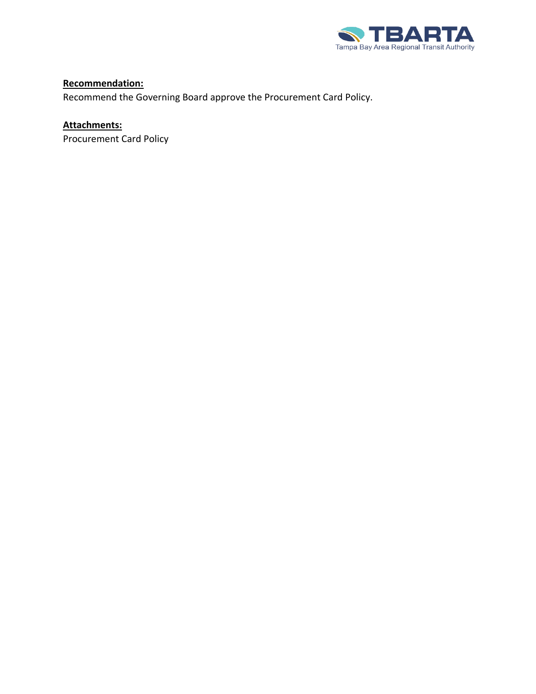

## **Recommendation:**

Recommend the Governing Board approve the Procurement Card Policy.

## **Attachments:**

Procurement Card Policy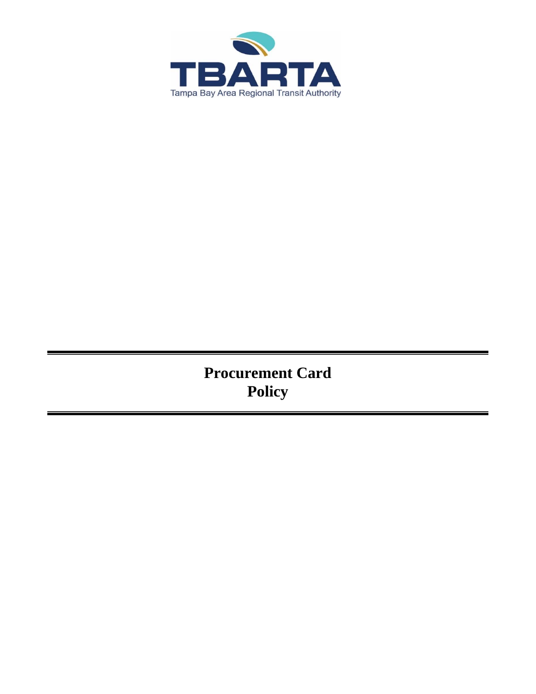

**Procurement Card Policy**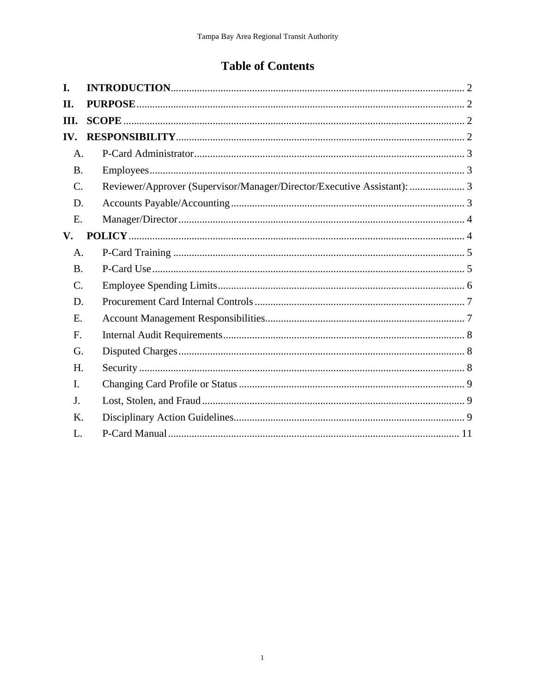# **Table of Contents**

| I.              |                                                                         |
|-----------------|-------------------------------------------------------------------------|
| П.              |                                                                         |
| III.            |                                                                         |
| IV.             |                                                                         |
| A.              |                                                                         |
| <b>B.</b>       |                                                                         |
| $\mathcal{C}$ . | Reviewer/Approver (Supervisor/Manager/Director/Executive Assistant):  3 |
| D.              |                                                                         |
| E.              |                                                                         |
| V.              |                                                                         |
| A.              |                                                                         |
| <b>B.</b>       |                                                                         |
| C.              |                                                                         |
| D.              |                                                                         |
| Ε.              |                                                                         |
| F.              |                                                                         |
| G.              |                                                                         |
| H.              |                                                                         |
| I.              |                                                                         |
| J.              |                                                                         |
| K.              |                                                                         |
| L.              |                                                                         |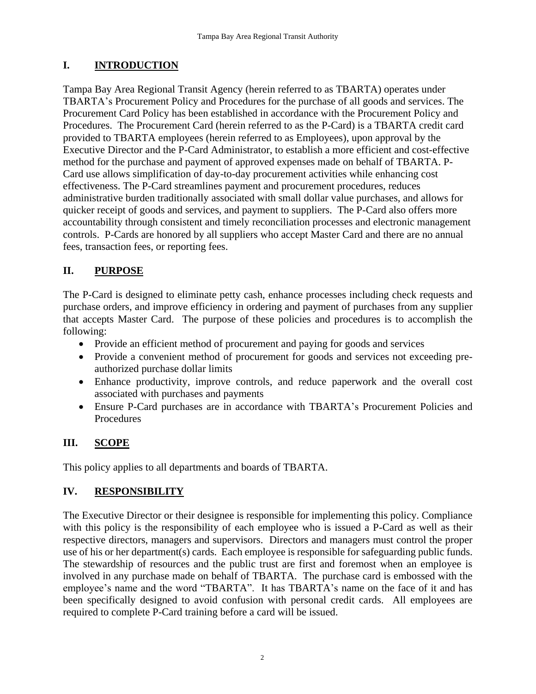# <span id="page-12-0"></span>**I. INTRODUCTION**

Tampa Bay Area Regional Transit Agency (herein referred to as TBARTA) operates under TBARTA's Procurement Policy and Procedures for the purchase of all goods and services. The Procurement Card Policy has been established in accordance with the Procurement Policy and Procedures. The Procurement Card (herein referred to as the P-Card) is a TBARTA credit card provided to TBARTA employees (herein referred to as Employees), upon approval by the Executive Director and the P-Card Administrator, to establish a more efficient and cost-effective method for the purchase and payment of approved expenses made on behalf of TBARTA. P-Card use allows simplification of day-to-day procurement activities while enhancing cost effectiveness. The P-Card streamlines payment and procurement procedures, reduces administrative burden traditionally associated with small dollar value purchases, and allows for quicker receipt of goods and services, and payment to suppliers. The P-Card also offers more accountability through consistent and timely reconciliation processes and electronic management controls. P-Cards are honored by all suppliers who accept Master Card and there are no annual fees, transaction fees, or reporting fees.

# <span id="page-12-1"></span>**II. PURPOSE**

The P-Card is designed to eliminate petty cash, enhance processes including check requests and purchase orders, and improve efficiency in ordering and payment of purchases from any supplier that accepts Master Card. The purpose of these policies and procedures is to accomplish the following:

- Provide an efficient method of procurement and paying for goods and services
- Provide a convenient method of procurement for goods and services not exceeding preauthorized purchase dollar limits
- Enhance productivity, improve controls, and reduce paperwork and the overall cost associated with purchases and payments
- Ensure P-Card purchases are in accordance with TBARTA's Procurement Policies and Procedures

# <span id="page-12-2"></span>**III. SCOPE**

This policy applies to all departments and boards of TBARTA.

# <span id="page-12-3"></span>**IV. RESPONSIBILITY**

The Executive Director or their designee is responsible for implementing this policy. Compliance with this policy is the responsibility of each employee who is issued a P-Card as well as their respective directors, managers and supervisors. Directors and managers must control the proper use of his or her department(s) cards. Each employee is responsible for safeguarding public funds. The stewardship of resources and the public trust are first and foremost when an employee is involved in any purchase made on behalf of TBARTA. The purchase card is embossed with the employee's name and the word "TBARTA". It has TBARTA's name on the face of it and has been specifically designed to avoid confusion with personal credit cards. All employees are required to complete P-Card training before a card will be issued.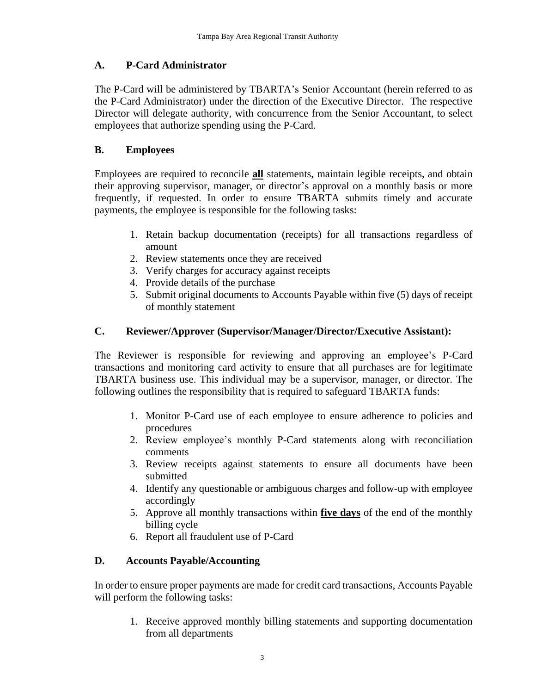## <span id="page-13-0"></span>**A. P-Card Administrator**

The P-Card will be administered by TBARTA's Senior Accountant (herein referred to as the P-Card Administrator) under the direction of the Executive Director. The respective Director will delegate authority, with concurrence from the Senior Accountant, to select employees that authorize spending using the P-Card.

## <span id="page-13-1"></span>**B. Employees**

Employees are required to reconcile **all** statements, maintain legible receipts, and obtain their approving supervisor, manager, or director's approval on a monthly basis or more frequently, if requested. In order to ensure TBARTA submits timely and accurate payments, the employee is responsible for the following tasks:

- 1. Retain backup documentation (receipts) for all transactions regardless of amount
- 2. Review statements once they are received
- 3. Verify charges for accuracy against receipts
- 4. Provide details of the purchase
- 5. Submit original documents to Accounts Payable within five (5) days of receipt of monthly statement

## <span id="page-13-2"></span>**C. Reviewer/Approver (Supervisor/Manager/Director/Executive Assistant):**

The Reviewer is responsible for reviewing and approving an employee's P-Card transactions and monitoring card activity to ensure that all purchases are for legitimate TBARTA business use. This individual may be a supervisor, manager, or director. The following outlines the responsibility that is required to safeguard TBARTA funds:

- 1. Monitor P-Card use of each employee to ensure adherence to policies and procedures
- 2. Review employee's monthly P-Card statements along with reconciliation comments
- 3. Review receipts against statements to ensure all documents have been submitted
- 4. Identify any questionable or ambiguous charges and follow-up with employee accordingly
- 5. Approve all monthly transactions within **five days** of the end of the monthly billing cycle
- 6. Report all fraudulent use of P-Card

## <span id="page-13-3"></span>**D. Accounts Payable/Accounting**

In order to ensure proper payments are made for credit card transactions, Accounts Payable will perform the following tasks:

1. Receive approved monthly billing statements and supporting documentation from all departments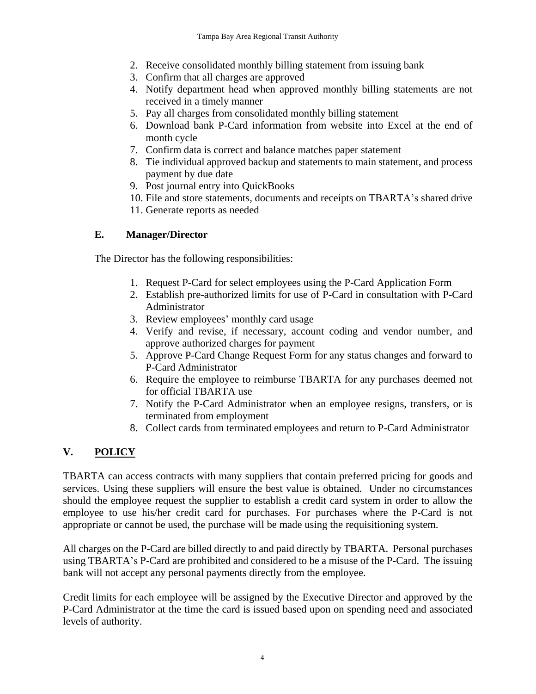- 2. Receive consolidated monthly billing statement from issuing bank
- 3. Confirm that all charges are approved
- 4. Notify department head when approved monthly billing statements are not received in a timely manner
- 5. Pay all charges from consolidated monthly billing statement
- 6. Download bank P-Card information from website into Excel at the end of month cycle
- 7. Confirm data is correct and balance matches paper statement
- 8. Tie individual approved backup and statements to main statement, and process payment by due date
- 9. Post journal entry into QuickBooks
- 10. File and store statements, documents and receipts on TBARTA's shared drive
- 11. Generate reports as needed

## <span id="page-14-0"></span>**E. Manager/Director**

The Director has the following responsibilities:

- 1. Request P-Card for select employees using the P-Card Application Form
- 2. Establish pre-authorized limits for use of P-Card in consultation with P-Card Administrator
- 3. Review employees' monthly card usage
- 4. Verify and revise, if necessary, account coding and vendor number, and approve authorized charges for payment
- 5. Approve P-Card Change Request Form for any status changes and forward to P-Card Administrator
- 6. Require the employee to reimburse TBARTA for any purchases deemed not for official TBARTA use
- 7. Notify the P-Card Administrator when an employee resigns, transfers, or is terminated from employment
- 8. Collect cards from terminated employees and return to P-Card Administrator

# <span id="page-14-1"></span>**V. POLICY**

TBARTA can access contracts with many suppliers that contain preferred pricing for goods and services. Using these suppliers will ensure the best value is obtained. Under no circumstances should the employee request the supplier to establish a credit card system in order to allow the employee to use his/her credit card for purchases. For purchases where the P-Card is not appropriate or cannot be used, the purchase will be made using the requisitioning system.

All charges on the P-Card are billed directly to and paid directly by TBARTA. Personal purchases using TBARTA's P-Card are prohibited and considered to be a misuse of the P-Card. The issuing bank will not accept any personal payments directly from the employee.

Credit limits for each employee will be assigned by the Executive Director and approved by the P-Card Administrator at the time the card is issued based upon on spending need and associated levels of authority.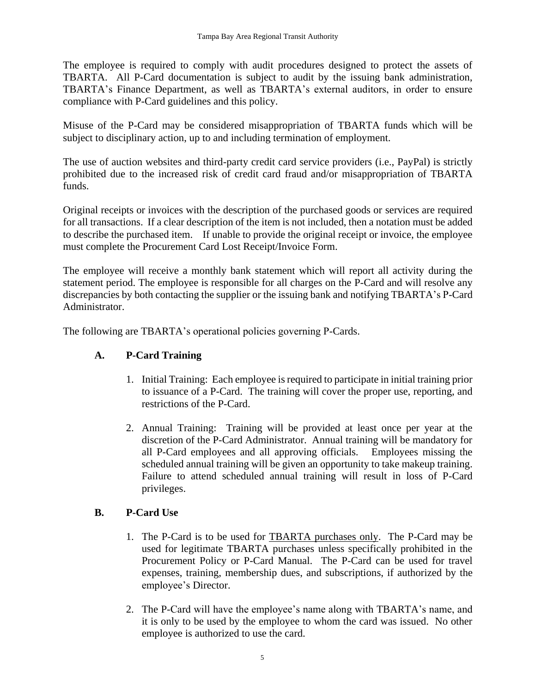The employee is required to comply with audit procedures designed to protect the assets of TBARTA. All P-Card documentation is subject to audit by the issuing bank administration, TBARTA's Finance Department, as well as TBARTA's external auditors, in order to ensure compliance with P-Card guidelines and this policy.

Misuse of the P-Card may be considered misappropriation of TBARTA funds which will be subject to disciplinary action, up to and including termination of employment.

The use of auction websites and third-party credit card service providers (i.e., PayPal) is strictly prohibited due to the increased risk of credit card fraud and/or misappropriation of TBARTA funds.

Original receipts or invoices with the description of the purchased goods or services are required for all transactions. If a clear description of the item is not included, then a notation must be added to describe the purchased item. If unable to provide the original receipt or invoice, the employee must complete the Procurement Card Lost Receipt/Invoice Form.

The employee will receive a monthly bank statement which will report all activity during the statement period. The employee is responsible for all charges on the P-Card and will resolve any discrepancies by both contacting the supplier or the issuing bank and notifying TBARTA's P-Card Administrator.

<span id="page-15-0"></span>The following are TBARTA's operational policies governing P-Cards.

## **A. P-Card Training**

- 1. Initial Training: Each employee is required to participate in initial training prior to issuance of a P-Card. The training will cover the proper use, reporting, and restrictions of the P-Card.
- 2. Annual Training: Training will be provided at least once per year at the discretion of the P-Card Administrator. Annual training will be mandatory for all P-Card employees and all approving officials. Employees missing the scheduled annual training will be given an opportunity to take makeup training. Failure to attend scheduled annual training will result in loss of P-Card privileges.

## <span id="page-15-1"></span>**B. P-Card Use**

- 1. The P-Card is to be used for TBARTA purchases only. The P-Card may be used for legitimate TBARTA purchases unless specifically prohibited in the Procurement Policy or P-Card Manual. The P-Card can be used for travel expenses, training, membership dues, and subscriptions, if authorized by the employee's Director.
- 2. The P-Card will have the employee's name along with TBARTA's name, and it is only to be used by the employee to whom the card was issued. No other employee is authorized to use the card.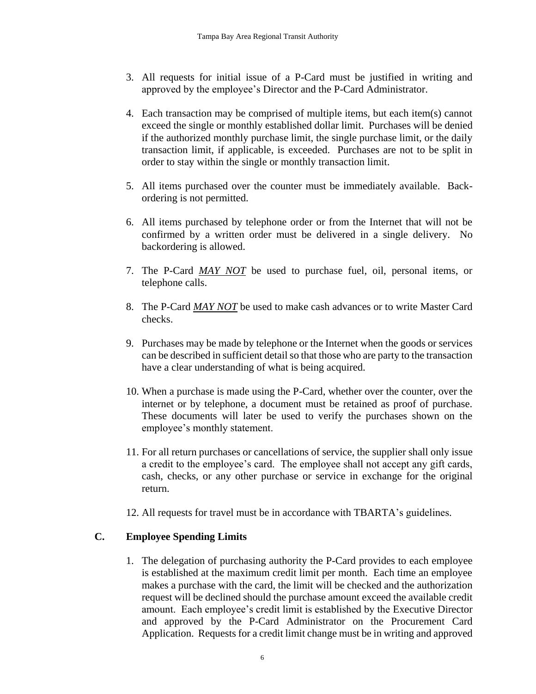- 3. All requests for initial issue of a P-Card must be justified in writing and approved by the employee's Director and the P-Card Administrator.
- 4. Each transaction may be comprised of multiple items, but each item(s) cannot exceed the single or monthly established dollar limit. Purchases will be denied if the authorized monthly purchase limit, the single purchase limit, or the daily transaction limit, if applicable, is exceeded. Purchases are not to be split in order to stay within the single or monthly transaction limit.
- 5. All items purchased over the counter must be immediately available. Backordering is not permitted.
- 6. All items purchased by telephone order or from the Internet that will not be confirmed by a written order must be delivered in a single delivery. No backordering is allowed.
- 7. The P-Card *MAY NOT* be used to purchase fuel, oil, personal items, or telephone calls.
- 8. The P-Card *MAY NOT* be used to make cash advances or to write Master Card checks.
- 9. Purchases may be made by telephone or the Internet when the goods or services can be described in sufficient detail so that those who are party to the transaction have a clear understanding of what is being acquired.
- 10. When a purchase is made using the P-Card, whether over the counter, over the internet or by telephone, a document must be retained as proof of purchase. These documents will later be used to verify the purchases shown on the employee's monthly statement.
- 11. For all return purchases or cancellations of service, the supplier shall only issue a credit to the employee's card. The employee shall not accept any gift cards, cash, checks, or any other purchase or service in exchange for the original return.
- 12. All requests for travel must be in accordance with TBARTA's guidelines.

## <span id="page-16-0"></span>**C. Employee Spending Limits**

1. The delegation of purchasing authority the P-Card provides to each employee is established at the maximum credit limit per month. Each time an employee makes a purchase with the card, the limit will be checked and the authorization request will be declined should the purchase amount exceed the available credit amount. Each employee's credit limit is established by the Executive Director and approved by the P-Card Administrator on the Procurement Card Application. Requests for a credit limit change must be in writing and approved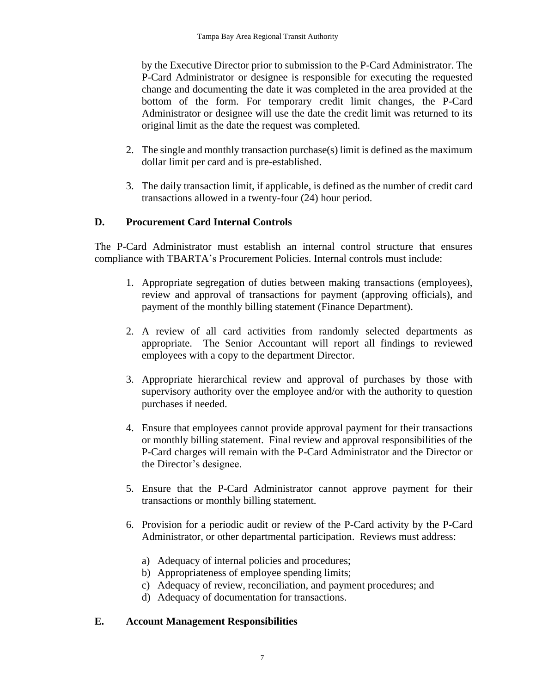by the Executive Director prior to submission to the P-Card Administrator. The P-Card Administrator or designee is responsible for executing the requested change and documenting the date it was completed in the area provided at the bottom of the form. For temporary credit limit changes, the P-Card Administrator or designee will use the date the credit limit was returned to its original limit as the date the request was completed.

- 2. The single and monthly transaction purchase(s) limit is defined as the maximum dollar limit per card and is pre-established.
- 3. The daily transaction limit, if applicable, is defined as the number of credit card transactions allowed in a twenty-four (24) hour period.

## <span id="page-17-0"></span>**D. Procurement Card Internal Controls**

The P-Card Administrator must establish an internal control structure that ensures compliance with TBARTA's Procurement Policies. Internal controls must include:

- 1. Appropriate segregation of duties between making transactions (employees), review and approval of transactions for payment (approving officials), and payment of the monthly billing statement (Finance Department).
- 2. A review of all card activities from randomly selected departments as appropriate. The Senior Accountant will report all findings to reviewed employees with a copy to the department Director.
- 3. Appropriate hierarchical review and approval of purchases by those with supervisory authority over the employee and/or with the authority to question purchases if needed.
- 4. Ensure that employees cannot provide approval payment for their transactions or monthly billing statement. Final review and approval responsibilities of the P-Card charges will remain with the P-Card Administrator and the Director or the Director's designee.
- 5. Ensure that the P-Card Administrator cannot approve payment for their transactions or monthly billing statement.
- 6. Provision for a periodic audit or review of the P-Card activity by the P-Card Administrator, or other departmental participation. Reviews must address:
	- a) Adequacy of internal policies and procedures;
	- b) Appropriateness of employee spending limits;
	- c) Adequacy of review, reconciliation, and payment procedures; and
	- d) Adequacy of documentation for transactions.

## <span id="page-17-1"></span>**E. Account Management Responsibilities**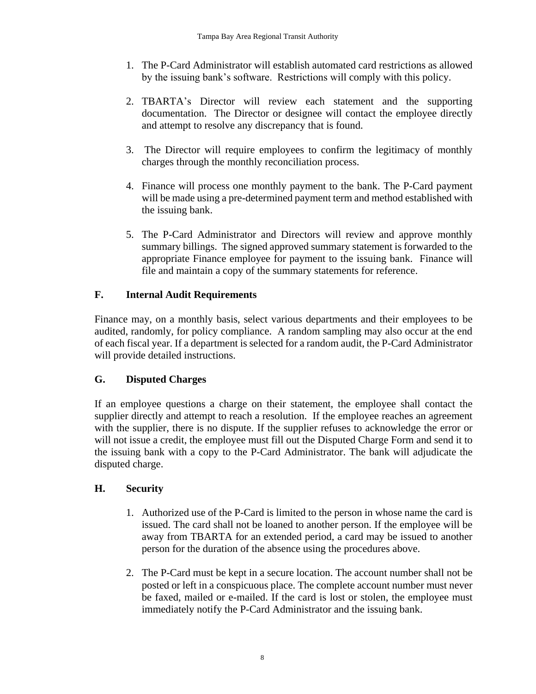- 1. The P-Card Administrator will establish automated card restrictions as allowed by the issuing bank's software. Restrictions will comply with this policy.
- 2. TBARTA's Director will review each statement and the supporting documentation. The Director or designee will contact the employee directly and attempt to resolve any discrepancy that is found.
- 3. The Director will require employees to confirm the legitimacy of monthly charges through the monthly reconciliation process.
- 4. Finance will process one monthly payment to the bank. The P-Card payment will be made using a pre-determined payment term and method established with the issuing bank.
- 5. The P-Card Administrator and Directors will review and approve monthly summary billings. The signed approved summary statement is forwarded to the appropriate Finance employee for payment to the issuing bank. Finance will file and maintain a copy of the summary statements for reference.

## <span id="page-18-0"></span>**F. Internal Audit Requirements**

Finance may, on a monthly basis, select various departments and their employees to be audited, randomly, for policy compliance. A random sampling may also occur at the end of each fiscal year. If a department is selected for a random audit, the P-Card Administrator will provide detailed instructions.

## <span id="page-18-1"></span>**G. Disputed Charges**

If an employee questions a charge on their statement, the employee shall contact the supplier directly and attempt to reach a resolution. If the employee reaches an agreement with the supplier, there is no dispute. If the supplier refuses to acknowledge the error or will not issue a credit, the employee must fill out the Disputed Charge Form and send it to the issuing bank with a copy to the P-Card Administrator. The bank will adjudicate the disputed charge.

## <span id="page-18-2"></span>**H. Security**

- 1. Authorized use of the P-Card is limited to the person in whose name the card is issued. The card shall not be loaned to another person. If the employee will be away from TBARTA for an extended period, a card may be issued to another person for the duration of the absence using the procedures above.
- 2. The P-Card must be kept in a secure location. The account number shall not be posted or left in a conspicuous place. The complete account number must never be faxed, mailed or e-mailed. If the card is lost or stolen, the employee must immediately notify the P-Card Administrator and the issuing bank.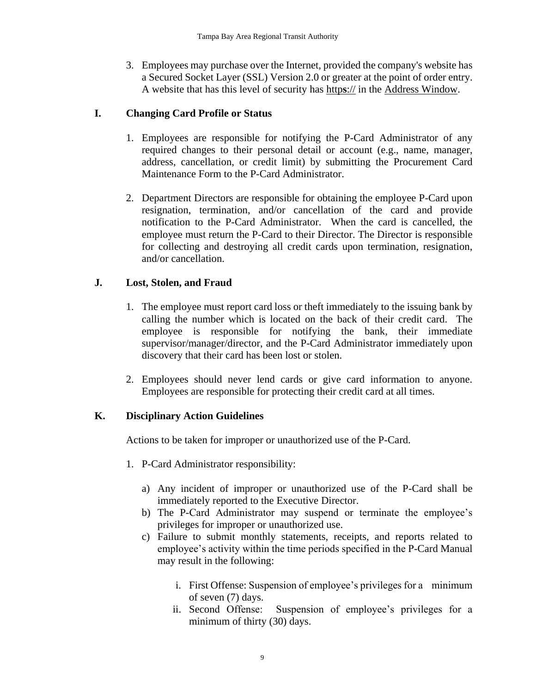3. Employees may purchase over the Internet, provided the company's website has a Secured Socket Layer (SSL) Version 2.0 or greater at the point of order entry. A website that has this level of security has http**s**:// in the Address Window.

## <span id="page-19-0"></span>**I. Changing Card Profile or Status**

- 1. Employees are responsible for notifying the P-Card Administrator of any required changes to their personal detail or account (e.g., name, manager, address, cancellation, or credit limit) by submitting the Procurement Card Maintenance Form to the P-Card Administrator.
- 2. Department Directors are responsible for obtaining the employee P-Card upon resignation, termination, and/or cancellation of the card and provide notification to the P-Card Administrator. When the card is cancelled, the employee must return the P-Card to their Director. The Director is responsible for collecting and destroying all credit cards upon termination, resignation, and/or cancellation.

# <span id="page-19-1"></span>**J. Lost, Stolen, and Fraud**

- 1. The employee must report card loss or theft immediately to the issuing bank by calling the number which is located on the back of their credit card. The employee is responsible for notifying the bank, their immediate supervisor/manager/director, and the P-Card Administrator immediately upon discovery that their card has been lost or stolen.
- 2. Employees should never lend cards or give card information to anyone. Employees are responsible for protecting their credit card at all times.

## <span id="page-19-2"></span>**K. Disciplinary Action Guidelines**

Actions to be taken for improper or unauthorized use of the P-Card.

- 1. P-Card Administrator responsibility:
	- a) Any incident of improper or unauthorized use of the P-Card shall be immediately reported to the Executive Director.
	- b) The P-Card Administrator may suspend or terminate the employee's privileges for improper or unauthorized use.
	- c) Failure to submit monthly statements, receipts, and reports related to employee's activity within the time periods specified in the P-Card Manual may result in the following:
		- i. First Offense: Suspension of employee's privileges for a minimum of seven (7) days.
		- ii. Second Offense: Suspension of employee's privileges for a minimum of thirty (30) days.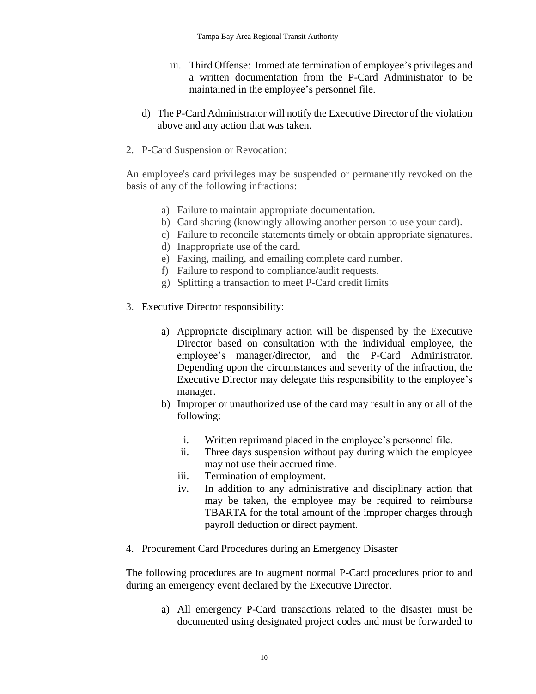- iii. Third Offense: Immediate termination of employee's privileges and a written documentation from the P-Card Administrator to be maintained in the employee's personnel file.
- d) The P-Card Administrator will notify the Executive Director of the violation above and any action that was taken.
- 2. P-Card Suspension or Revocation:

An employee's card privileges may be suspended or permanently revoked on the basis of any of the following infractions:

- a) Failure to maintain appropriate documentation.
- b) Card sharing (knowingly allowing another person to use your card).
- c) Failure to reconcile statements timely or obtain appropriate signatures.
- d) Inappropriate use of the card.
- e) Faxing, mailing, and emailing complete card number.
- f) Failure to respond to compliance/audit requests.
- g) Splitting a transaction to meet P-Card credit limits
- 3. Executive Director responsibility:
	- a) Appropriate disciplinary action will be dispensed by the Executive Director based on consultation with the individual employee, the employee's manager/director, and the P-Card Administrator. Depending upon the circumstances and severity of the infraction, the Executive Director may delegate this responsibility to the employee's manager.
	- b) Improper or unauthorized use of the card may result in any or all of the following:
		- i. Written reprimand placed in the employee's personnel file.
		- ii. Three days suspension without pay during which the employee may not use their accrued time.
		- iii. Termination of employment.
		- iv. In addition to any administrative and disciplinary action that may be taken, the employee may be required to reimburse TBARTA for the total amount of the improper charges through payroll deduction or direct payment.
- 4. Procurement Card Procedures during an Emergency Disaster

The following procedures are to augment normal P-Card procedures prior to and during an emergency event declared by the Executive Director.

> a) All emergency P-Card transactions related to the disaster must be documented using designated project codes and must be forwarded to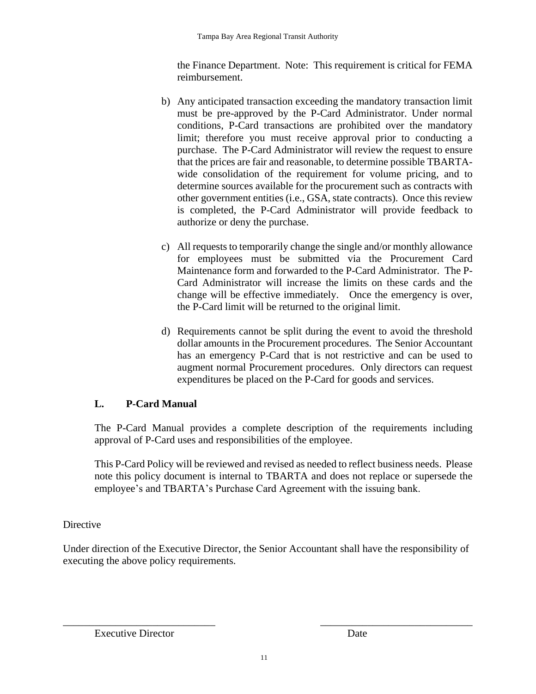the Finance Department. Note: This requirement is critical for FEMA reimbursement.

- b) Any anticipated transaction exceeding the mandatory transaction limit must be pre-approved by the P-Card Administrator. Under normal conditions, P-Card transactions are prohibited over the mandatory limit; therefore you must receive approval prior to conducting a purchase. The P-Card Administrator will review the request to ensure that the prices are fair and reasonable, to determine possible TBARTAwide consolidation of the requirement for volume pricing, and to determine sources available for the procurement such as contracts with other government entities (i.e., GSA, state contracts). Once this review is completed, the P-Card Administrator will provide feedback to authorize or deny the purchase.
- c) All requests to temporarily change the single and/or monthly allowance for employees must be submitted via the Procurement Card Maintenance form and forwarded to the P-Card Administrator. The P-Card Administrator will increase the limits on these cards and the change will be effective immediately. Once the emergency is over, the P-Card limit will be returned to the original limit.
- d) Requirements cannot be split during the event to avoid the threshold dollar amounts in the Procurement procedures. The Senior Accountant has an emergency P-Card that is not restrictive and can be used to augment normal Procurement procedures. Only directors can request expenditures be placed on the P-Card for goods and services.

# <span id="page-21-0"></span>**L. P-Card Manual**

The P-Card Manual provides a complete description of the requirements including approval of P-Card uses and responsibilities of the employee.

This P-Card Policy will be reviewed and revised as needed to reflect business needs. Please note this policy document is internal to TBARTA and does not replace or supersede the employee's and TBARTA's Purchase Card Agreement with the issuing bank.

Directive

Under direction of the Executive Director, the Senior Accountant shall have the responsibility of executing the above policy requirements.

Executive Director Date

 $\overline{\phantom{a}}$  , and the contract of the contract of the contract of the contract of the contract of the contract of the contract of the contract of the contract of the contract of the contract of the contract of the contrac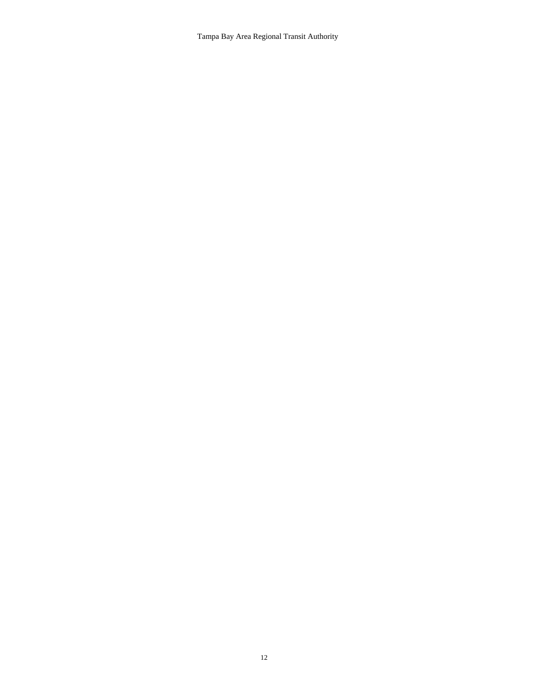Tampa Bay Area Regional Transit Authority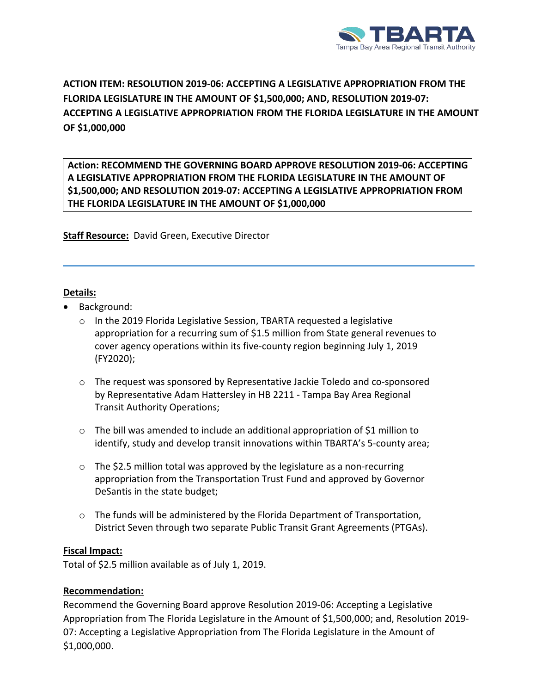

**ACTION ITEM: RESOLUTION 2019-06: ACCEPTING A LEGISLATIVE APPROPRIATION FROM THE FLORIDA LEGISLATURE IN THE AMOUNT OF \$1,500,000; AND, RESOLUTION 2019-07: ACCEPTING A LEGISLATIVE APPROPRIATION FROM THE FLORIDA LEGISLATURE IN THE AMOUNT OF \$1,000,000**

**Action: RECOMMEND THE GOVERNING BOARD APPROVE RESOLUTION 2019-06: ACCEPTING A LEGISLATIVE APPROPRIATION FROM THE FLORIDA LEGISLATURE IN THE AMOUNT OF \$1,500,000; AND RESOLUTION 2019-07: ACCEPTING A LEGISLATIVE APPROPRIATION FROM THE FLORIDA LEGISLATURE IN THE AMOUNT OF \$1,000,000**

**Staff Resource:** David Green, Executive Director

## **Details:**

- Background:
	- o In the 2019 Florida Legislative Session, TBARTA requested a legislative appropriation for a recurring sum of \$1.5 million from State general revenues to cover agency operations within its five-county region beginning July 1, 2019 (FY2020);
	- $\circ$  The request was sponsored by Representative Jackie Toledo and co-sponsored by Representative Adam Hattersley in HB 2211 - Tampa Bay Area Regional Transit Authority Operations;
	- $\circ$  The bill was amended to include an additional appropriation of \$1 million to identify, study and develop transit innovations within TBARTA's 5-county area;
	- $\circ$  The \$2.5 million total was approved by the legislature as a non-recurring appropriation from the Transportation Trust Fund and approved by Governor DeSantis in the state budget;
	- o The funds will be administered by the Florida Department of Transportation, District Seven through two separate Public Transit Grant Agreements (PTGAs).

## **Fiscal Impact:**

Total of \$2.5 million available as of July 1, 2019.

## **Recommendation:**

Recommend the Governing Board approve Resolution 2019-06: Accepting a Legislative Appropriation from The Florida Legislature in the Amount of \$1,500,000; and, Resolution 2019- 07: Accepting a Legislative Appropriation from The Florida Legislature in the Amount of \$1,000,000.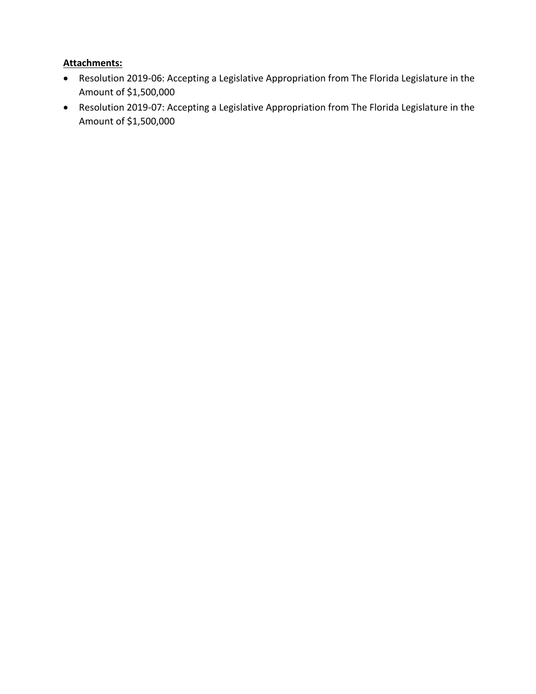## **Attachments:**

- Resolution 2019-06: Accepting a Legislative Appropriation from The Florida Legislature in the Amount of \$1,500,000
- Resolution 2019-07: Accepting a Legislative Appropriation from The Florida Legislature in the Amount of \$1,500,000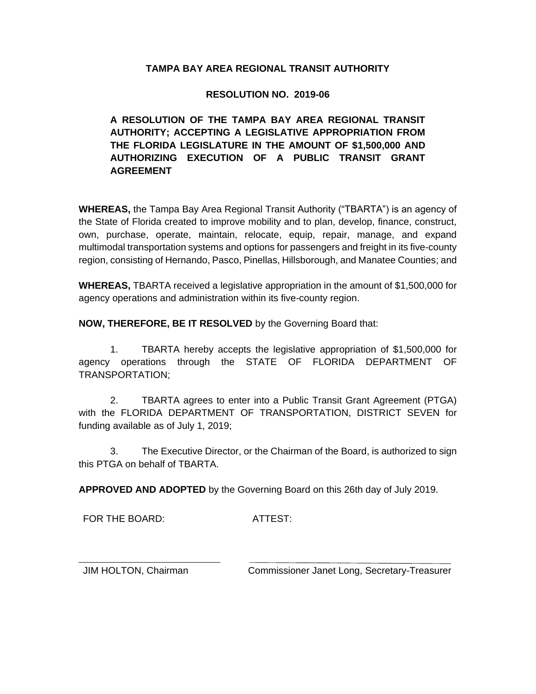## **TAMPA BAY AREA REGIONAL TRANSIT AUTHORITY**

## **RESOLUTION NO. 2019-06**

## **A RESOLUTION OF THE TAMPA BAY AREA REGIONAL TRANSIT AUTHORITY; ACCEPTING A LEGISLATIVE APPROPRIATION FROM THE FLORIDA LEGISLATURE IN THE AMOUNT OF \$1,500,000 AND AUTHORIZING EXECUTION OF A PUBLIC TRANSIT GRANT AGREEMENT**

**WHEREAS,** the Tampa Bay Area Regional Transit Authority ("TBARTA") is an agency of the State of Florida created to improve mobility and to plan, develop, finance, construct, own, purchase, operate, maintain, relocate, equip, repair, manage, and expand multimodal transportation systems and options for passengers and freight in its five-county region, consisting of Hernando, Pasco, Pinellas, Hillsborough, and Manatee Counties; and

**WHEREAS,** TBARTA received a legislative appropriation in the amount of \$1,500,000 for agency operations and administration within its five-county region.

**NOW, THEREFORE, BE IT RESOLVED** by the Governing Board that:

1. TBARTA hereby accepts the legislative appropriation of \$1,500,000 for agency operations through the STATE OF FLORIDA DEPARTMENT OF TRANSPORTATION;

2. TBARTA agrees to enter into a Public Transit Grant Agreement (PTGA) with the FLORIDA DEPARTMENT OF TRANSPORTATION, DISTRICT SEVEN for funding available as of July 1, 2019;

3. The Executive Director, or the Chairman of the Board, is authorized to sign this PTGA on behalf of TBARTA.

**APPROVED AND ADOPTED** by the Governing Board on this 26th day of July 2019.

FOR THE BOARD: ATTEST:

JIM HOLTON, Chairman Commissioner Janet Long, Secretary-Treasurer